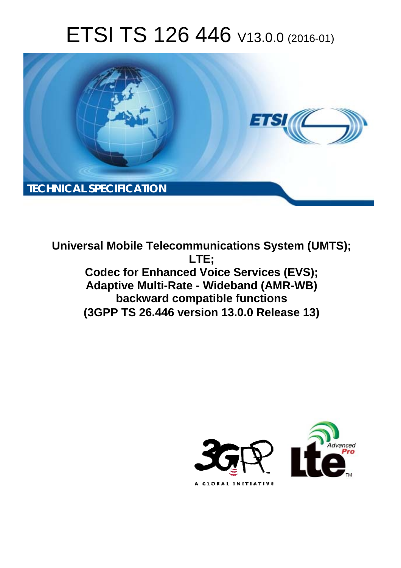# ETSI TS 126 446 V13.0.0 (2016-01)



**Universal Mobile Tel elecommunications System ( (UMTS); Codec for Enhanced Voice Services (EVS); Adaptive Multi-Rate - Wideband (AMR-WB) backwar ard compatible functions (3GPP TS 26.4 .446 version 13.0.0 Release 13 13) LTE;** 

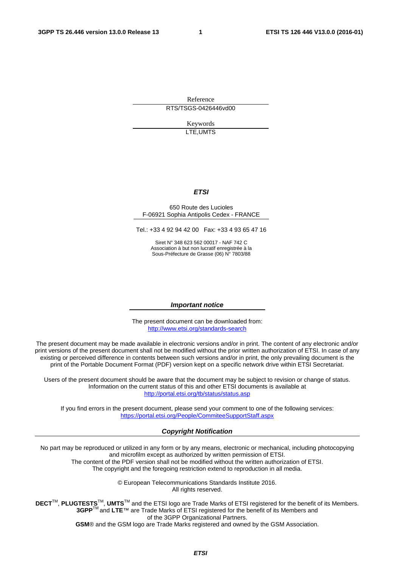Reference RTS/TSGS-0426446vd00

> Keywords LTE,UMTS

#### *ETSI*

#### 650 Route des Lucioles F-06921 Sophia Antipolis Cedex - FRANCE

Tel.: +33 4 92 94 42 00 Fax: +33 4 93 65 47 16

Siret N° 348 623 562 00017 - NAF 742 C Association à but non lucratif enregistrée à la Sous-Préfecture de Grasse (06) N° 7803/88

#### *Important notice*

The present document can be downloaded from: <http://www.etsi.org/standards-search>

The present document may be made available in electronic versions and/or in print. The content of any electronic and/or print versions of the present document shall not be modified without the prior written authorization of ETSI. In case of any existing or perceived difference in contents between such versions and/or in print, the only prevailing document is the print of the Portable Document Format (PDF) version kept on a specific network drive within ETSI Secretariat.

Users of the present document should be aware that the document may be subject to revision or change of status. Information on the current status of this and other ETSI documents is available at <http://portal.etsi.org/tb/status/status.asp>

If you find errors in the present document, please send your comment to one of the following services: <https://portal.etsi.org/People/CommiteeSupportStaff.aspx>

#### *Copyright Notification*

No part may be reproduced or utilized in any form or by any means, electronic or mechanical, including photocopying and microfilm except as authorized by written permission of ETSI.

The content of the PDF version shall not be modified without the written authorization of ETSI. The copyright and the foregoing restriction extend to reproduction in all media.

> © European Telecommunications Standards Institute 2016. All rights reserved.

**DECT**TM, **PLUGTESTS**TM, **UMTS**TM and the ETSI logo are Trade Marks of ETSI registered for the benefit of its Members. **3GPP**TM and **LTE**™ are Trade Marks of ETSI registered for the benefit of its Members and of the 3GPP Organizational Partners.

**GSM**® and the GSM logo are Trade Marks registered and owned by the GSM Association.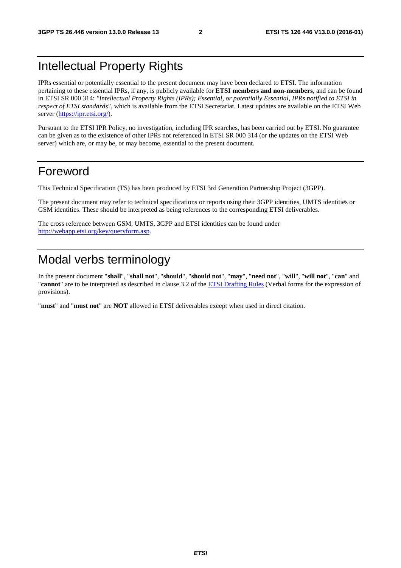### Intellectual Property Rights

IPRs essential or potentially essential to the present document may have been declared to ETSI. The information pertaining to these essential IPRs, if any, is publicly available for **ETSI members and non-members**, and can be found in ETSI SR 000 314: *"Intellectual Property Rights (IPRs); Essential, or potentially Essential, IPRs notified to ETSI in respect of ETSI standards"*, which is available from the ETSI Secretariat. Latest updates are available on the ETSI Web server [\(https://ipr.etsi.org/](https://ipr.etsi.org/)).

Pursuant to the ETSI IPR Policy, no investigation, including IPR searches, has been carried out by ETSI. No guarantee can be given as to the existence of other IPRs not referenced in ETSI SR 000 314 (or the updates on the ETSI Web server) which are, or may be, or may become, essential to the present document.

#### Foreword

This Technical Specification (TS) has been produced by ETSI 3rd Generation Partnership Project (3GPP).

The present document may refer to technical specifications or reports using their 3GPP identities, UMTS identities or GSM identities. These should be interpreted as being references to the corresponding ETSI deliverables.

The cross reference between GSM, UMTS, 3GPP and ETSI identities can be found under [http://webapp.etsi.org/key/queryform.asp.](http://webapp.etsi.org/key/queryform.asp)

## Modal verbs terminology

In the present document "**shall**", "**shall not**", "**should**", "**should not**", "**may**", "**need not**", "**will**", "**will not**", "**can**" and "**cannot**" are to be interpreted as described in clause 3.2 of the [ETSI Drafting Rules](http://portal.etsi.org/Help/editHelp!/Howtostart/ETSIDraftingRules.aspx) (Verbal forms for the expression of provisions).

"**must**" and "**must not**" are **NOT** allowed in ETSI deliverables except when used in direct citation.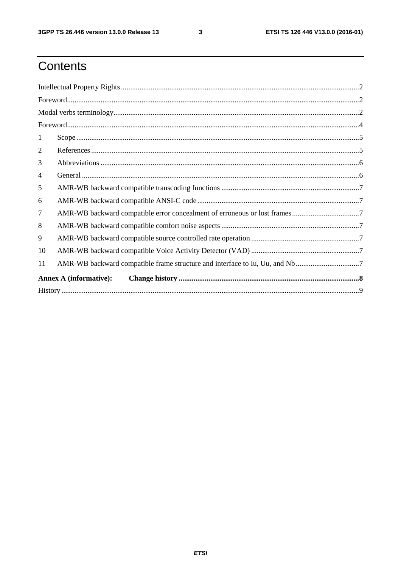$\mathbf{3}$ 

# Contents

| 1                             |                                                                             |  |  |  |  |  |
|-------------------------------|-----------------------------------------------------------------------------|--|--|--|--|--|
| 2                             |                                                                             |  |  |  |  |  |
| 3                             |                                                                             |  |  |  |  |  |
| $\overline{4}$                |                                                                             |  |  |  |  |  |
| 5                             |                                                                             |  |  |  |  |  |
| 6                             |                                                                             |  |  |  |  |  |
| $\overline{7}$                |                                                                             |  |  |  |  |  |
| 8                             |                                                                             |  |  |  |  |  |
| 9                             |                                                                             |  |  |  |  |  |
| 10                            |                                                                             |  |  |  |  |  |
| 11                            | AMR-WB backward compatible frame structure and interface to Iu, Uu, and Nb7 |  |  |  |  |  |
| <b>Annex A (informative):</b> |                                                                             |  |  |  |  |  |
|                               |                                                                             |  |  |  |  |  |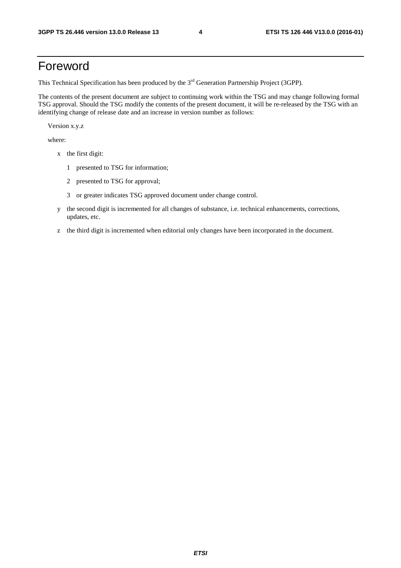### Foreword

This Technical Specification has been produced by the 3<sup>rd</sup> Generation Partnership Project (3GPP).

The contents of the present document are subject to continuing work within the TSG and may change following formal TSG approval. Should the TSG modify the contents of the present document, it will be re-released by the TSG with an identifying change of release date and an increase in version number as follows:

Version x.y.z

where:

- x the first digit:
	- 1 presented to TSG for information;
	- 2 presented to TSG for approval;
	- 3 or greater indicates TSG approved document under change control.
- y the second digit is incremented for all changes of substance, i.e. technical enhancements, corrections, updates, etc.
- z the third digit is incremented when editorial only changes have been incorporated in the document.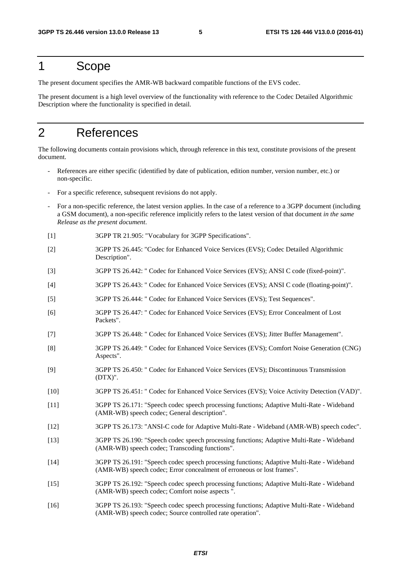#### 1 Scope

The present document specifies the AMR-WB backward compatible functions of the EVS codec.

The present document is a high level overview of the functionality with reference to the Codec Detailed Algorithmic Description where the functionality is specified in detail.

### 2 References

The following documents contain provisions which, through reference in this text, constitute provisions of the present document.

- References are either specific (identified by date of publication, edition number, version number, etc.) or non-specific.
- For a specific reference, subsequent revisions do not apply.
- For a non-specific reference, the latest version applies. In the case of a reference to a 3GPP document (including a GSM document), a non-specific reference implicitly refers to the latest version of that document *in the same Release as the present document*.
- [1] 3GPP TR 21.905: "Vocabulary for 3GPP Specifications".
- [2] 3GPP TS 26.445: "Codec for Enhanced Voice Services (EVS); Codec Detailed Algorithmic Description".
- [3] 3GPP TS 26.442: " Codec for Enhanced Voice Services (EVS); ANSI C code (fixed-point)".
- [4] 3GPP TS 26.443: " Codec for Enhanced Voice Services (EVS); ANSI C code (floating-point)".
- [5] 3GPP TS 26.444: " Codec for Enhanced Voice Services (EVS); Test Sequences".
- [6] 3GPP TS 26.447: " Codec for Enhanced Voice Services (EVS); Error Concealment of Lost Packets".
- [7] 3GPP TS 26.448: " Codec for Enhanced Voice Services (EVS); Jitter Buffer Management".
- [8] 3GPP TS 26.449: " Codec for Enhanced Voice Services (EVS); Comfort Noise Generation (CNG) Aspects".
- [9] 3GPP TS 26.450: " Codec for Enhanced Voice Services (EVS); Discontinuous Transmission (DTX)".
- [10] 3GPP TS 26.451: " Codec for Enhanced Voice Services (EVS); Voice Activity Detection (VAD)".
- [11] 3GPP TS 26.171: "Speech codec speech processing functions; Adaptive Multi-Rate Wideband (AMR-WB) speech codec; General description".
- [12] 3GPP TS 26.173: "ANSI-C code for Adaptive Multi-Rate Wideband (AMR-WB) speech codec".
- [13] 3GPP TS 26.190: "Speech codec speech processing functions; Adaptive Multi-Rate Wideband (AMR-WB) speech codec; Transcoding functions".
- [14] 3GPP TS 26.191: "Speech codec speech processing functions; Adaptive Multi-Rate Wideband (AMR-WB) speech codec; Error concealment of erroneous or lost frames".
- [15] 3GPP TS 26.192: "Speech codec speech processing functions; Adaptive Multi-Rate Wideband (AMR-WB) speech codec; Comfort noise aspects ".
- [16] 3GPP TS 26.193: "Speech codec speech processing functions; Adaptive Multi-Rate Wideband (AMR-WB) speech codec; Source controlled rate operation".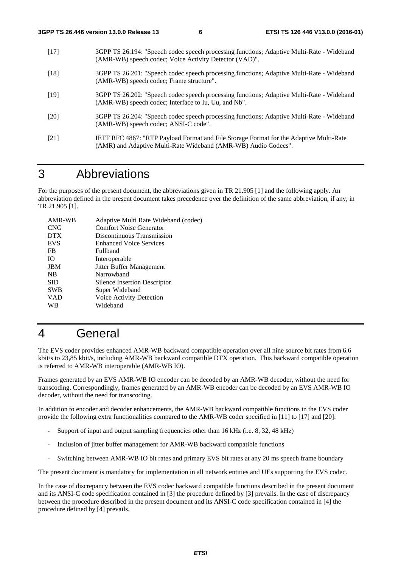- [17] 3GPP TS 26.194: "Speech codec speech processing functions; Adaptive Multi-Rate Wideband (AMR-WB) speech codec; Voice Activity Detector (VAD)".
- [18] 3GPP TS 26.201: "Speech codec speech processing functions; Adaptive Multi-Rate Wideband (AMR-WB) speech codec; Frame structure".
- [19] 3GPP TS 26.202: "Speech codec speech processing functions; Adaptive Multi-Rate Wideband (AMR-WB) speech codec; Interface to Iu, Uu, and Nb".
- [20] 3GPP TS 26.204: "Speech codec speech processing functions; Adaptive Multi-Rate Wideband (AMR-WB) speech codec; ANSI-C code".
- [21] IETF RFC 4867: "RTP Payload Format and File Storage Format for the Adaptive Multi-Rate (AMR) and Adaptive Multi-Rate Wideband (AMR-WB) Audio Codecs".

#### 3 Abbreviations

For the purposes of the present document, the abbreviations given in TR 21.905 [1] and the following apply. An abbreviation defined in the present document takes precedence over the definition of the same abbreviation, if any, in TR 21.905 [1].

| AMR-WB     | Adaptive Multi Rate Wideband (codec) |
|------------|--------------------------------------|
| <b>CNG</b> | <b>Comfort Noise Generator</b>       |
| <b>DTX</b> | Discontinuous Transmission           |
| <b>EVS</b> | <b>Enhanced Voice Services</b>       |
| FB         | Fullband                             |
| IO.        | Interoperable                        |
| <b>JBM</b> | Jitter Buffer Management             |
| NB         | Narrowhand                           |
| <b>SID</b> | <b>Silence Insertion Descriptor</b>  |
| <b>SWB</b> | Super Wideband                       |
| <b>VAD</b> | Voice Activity Detection             |
| WB         | Wideband                             |
|            |                                      |

### 4 General

The EVS coder provides enhanced AMR-WB backward compatible operation over all nine source bit rates from 6.6 kbit/s to 23,85 kbit/s, including AMR-WB backward compatible DTX operation. This backward compatible operation is referred to AMR-WB interoperable (AMR-WB IO).

Frames generated by an EVS AMR-WB IO encoder can be decoded by an AMR-WB decoder, without the need for transcoding. Correspondingly, frames generated by an AMR-WB encoder can be decoded by an EVS AMR-WB IO decoder, without the need for transcoding.

In addition to encoder and decoder enhancements, the AMR-WB backward compatible functions in the EVS coder provide the following extra functionalities compared to the AMR-WB coder specified in [11] to [17] and [20]:

- Support of input and output sampling frequencies other than 16 kHz (i.e. 8, 32, 48 kHz)
- Inclusion of jitter buffer management for AMR-WB backward compatible functions
- Switching between AMR-WB IO bit rates and primary EVS bit rates at any 20 ms speech frame boundary

The present document is mandatory for implementation in all network entities and UEs supporting the EVS codec.

In the case of discrepancy between the EVS codec backward compatible functions described in the present document and its ANSI-C code specification contained in [3] the procedure defined by [3] prevails. In the case of discrepancy between the procedure described in the present document and its ANSI-C code specification contained in [4] the procedure defined by [4] prevails.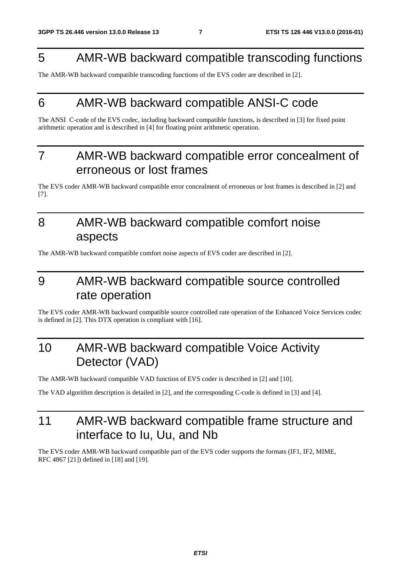### 5 AMR-WB backward compatible transcoding functions

The AMR-WB backward compatible transcoding functions of the EVS coder are described in [2].

# 6 AMR-WB backward compatible ANSI-C code

The ANSI C-code of the EVS codec, including backward compatible functions, is described in [3] for fixed point arithmetic operation and is described in [4] for floating point arithmetic operation.

# 7 AMR-WB backward compatible error concealment of erroneous or lost frames

The EVS coder AMR-WB backward compatible error concealment of erroneous or lost frames is described in [2] and [7].

# 8 AMR-WB backward compatible comfort noise aspects

The AMR-WB backward compatible comfort noise aspects of EVS coder are described in [2].

# 9 AMR-WB backward compatible source controlled rate operation

The EVS coder AMR-WB backward compatible source controlled rate operation of the Enhanced Voice Services codec is defined in [2]. This DTX operation is compliant with [16].

# 10 AMR-WB backward compatible Voice Activity Detector (VAD)

The AMR-WB backward compatible VAD function of EVS coder is described in [2] and [10].

The VAD algorithm description is detailed in [2], and the corresponding C-code is defined in [3] and [4].

# 11 AMR-WB backward compatible frame structure and interface to Iu, Uu, and Nb

The EVS coder AMR-WB backward compatible part of the EVS coder supports the formats (IF1, IF2, MIME, RFC 4867 [21]) defined in [18] and [19].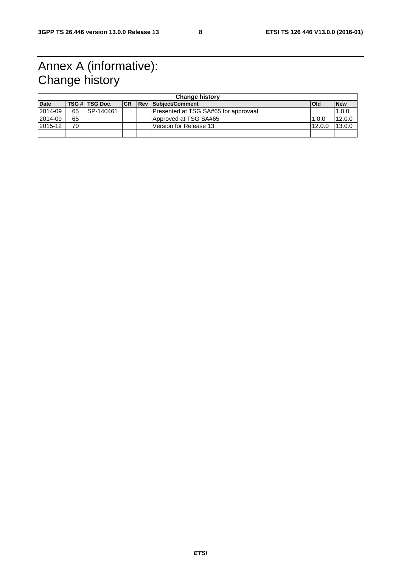# Annex A (informative): Change history

| <b>Change history</b> |    |                |    |  |                                      |            |            |  |
|-----------------------|----|----------------|----|--|--------------------------------------|------------|------------|--|
| <b>Date</b>           |    | TSG # TSG Doc. | CR |  | <b>Rev Subject/Comment</b>           | <b>Old</b> | <b>New</b> |  |
| 2014-09               | 65 | ISP-140461     |    |  | Presented at TSG SA#65 for approvaal |            | 1.0.0      |  |
| 2014-09               | 65 |                |    |  | Approved at TSG SA#65                | 1.0.0      | 12.0.0     |  |
| 2015-12               | 70 |                |    |  | l Version for Release 13             | 12.0.0     | 13.0.0     |  |
|                       |    |                |    |  |                                      |            |            |  |